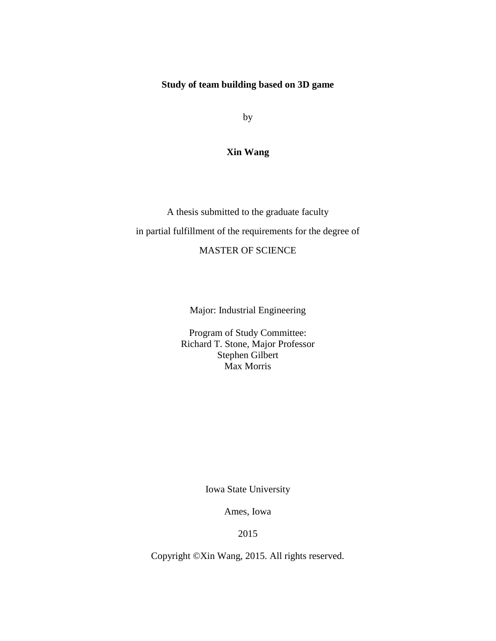### **Study of team building based on 3D game**

by

### **Xin Wang**

A thesis submitted to the graduate faculty in partial fulfillment of the requirements for the degree of MASTER OF SCIENCE

Major: Industrial Engineering

Program of Study Committee: Richard T. Stone, Major Professor Stephen Gilbert Max Morris

Iowa State University

Ames, Iowa

2015

Copyright ©Xin Wang, 2015. All rights reserved.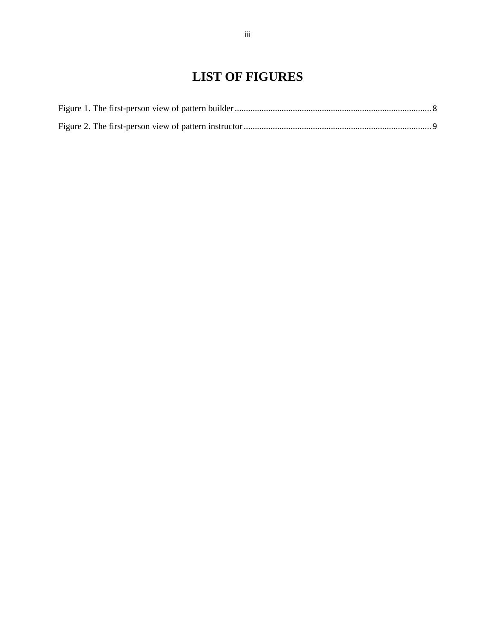# **LIST OF FIGURES**

<span id="page-2-0"></span>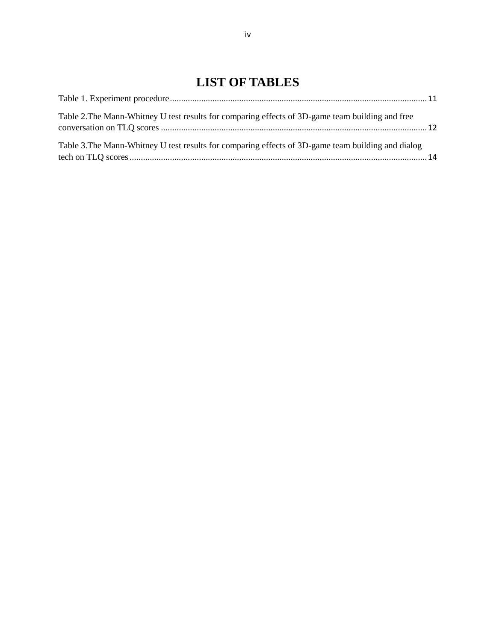# **LIST OF TABLES**

<span id="page-3-0"></span>

| Table 2. The Mann-Whitney U test results for comparing effects of 3D-game team building and free   |  |
|----------------------------------------------------------------------------------------------------|--|
| Table 3. The Mann-Whitney U test results for comparing effects of 3D-game team building and dialog |  |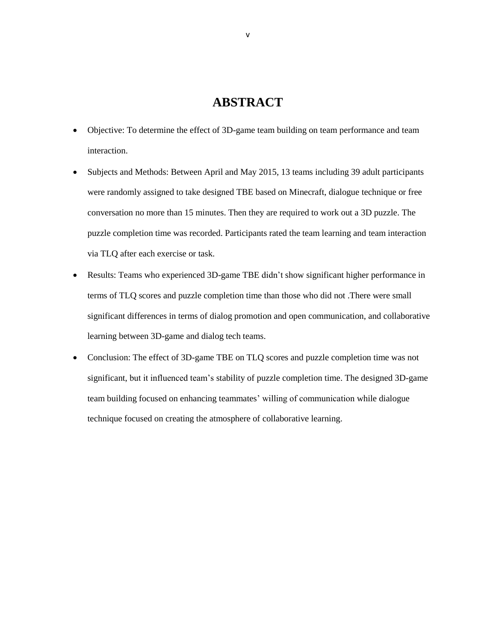# **ABSTRACT**

- <span id="page-4-0"></span> Objective: To determine the effect of 3D-game team building on team performance and team interaction.
- Subjects and Methods: Between April and May 2015, 13 teams including 39 adult participants were randomly assigned to take designed TBE based on Minecraft, dialogue technique or free conversation no more than 15 minutes. Then they are required to work out a 3D puzzle. The puzzle completion time was recorded. Participants rated the team learning and team interaction via TLQ after each exercise or task.
- Results: Teams who experienced 3D-game TBE didn't show significant higher performance in terms of TLQ scores and puzzle completion time than those who did not .There were small significant differences in terms of dialog promotion and open communication, and collaborative learning between 3D-game and dialog tech teams.
- Conclusion: The effect of 3D-game TBE on TLQ scores and puzzle completion time was not significant, but it influenced team's stability of puzzle completion time. The designed 3D-game team building focused on enhancing teammates' willing of communication while dialogue technique focused on creating the atmosphere of collaborative learning.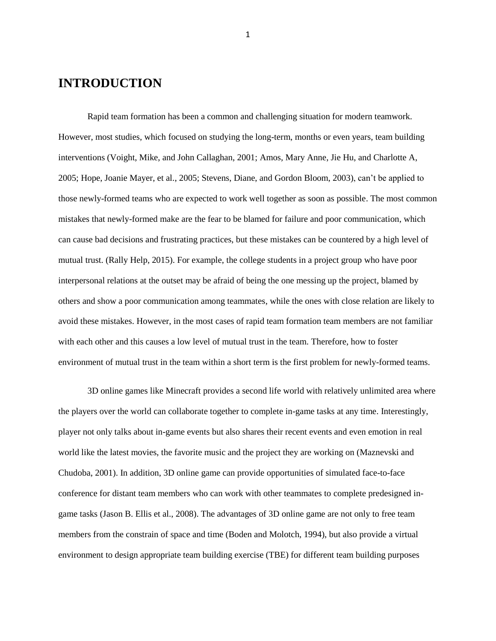# <span id="page-5-0"></span>**INTRODUCTION**

Rapid team formation has been a common and challenging situation for modern teamwork. However, most studies, which focused on studying the long-term, months or even years, team building interventions (Voight, Mike, and John Callaghan, 2001; Amos, Mary Anne, Jie Hu, and Charlotte A, 2005; Hope, Joanie Mayer, et al., 2005; Stevens, Diane, and Gordon Bloom, 2003), can't be applied to those newly-formed teams who are expected to work well together as soon as possible. The most common mistakes that newly-formed make are the fear to be blamed for failure and poor communication, which can cause bad decisions and frustrating practices, but these mistakes can be countered by a high level of mutual trust. (Rally Help, 2015). For example, the college students in a project group who have poor interpersonal relations at the outset may be afraid of being the one messing up the project, blamed by others and show a poor communication among teammates, while the ones with close relation are likely to avoid these mistakes. However, in the most cases of rapid team formation team members are not familiar with each other and this causes a low level of mutual trust in the team. Therefore, how to foster environment of mutual trust in the team within a short term is the first problem for newly-formed teams.

3D online games like Minecraft provides a second life world with relatively unlimited area where the players over the world can collaborate together to complete in-game tasks at any time. Interestingly, player not only talks about in-game events but also shares their recent events and even emotion in real world like the latest movies, the favorite music and the project they are working on (Maznevski and Chudoba, 2001). In addition, 3D online game can provide opportunities of simulated face-to-face conference for distant team members who can work with other teammates to complete predesigned ingame tasks (Jason B. Ellis et al., 2008). The advantages of 3D online game are not only to free team members from the constrain of space and time (Boden and Molotch, 1994), but also provide a virtual environment to design appropriate team building exercise (TBE) for different team building purposes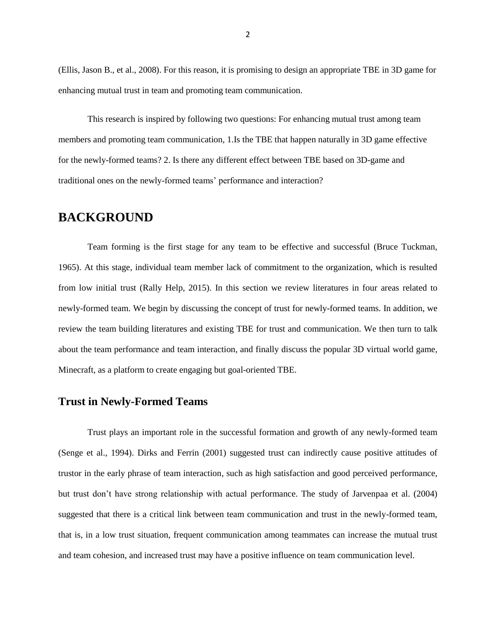(Ellis, Jason B., et al., 2008). For this reason, it is promising to design an appropriate TBE in 3D game for enhancing mutual trust in team and promoting team communication.

This research is inspired by following two questions: For enhancing mutual trust among team members and promoting team communication, 1.Is the TBE that happen naturally in 3D game effective for the newly-formed teams? 2. Is there any different effect between TBE based on 3D-game and traditional ones on the newly-formed teams' performance and interaction?

# <span id="page-6-0"></span>**BACKGROUND**

Team forming is the first stage for any team to be effective and successful (Bruce Tuckman, 1965). At this stage, individual team member lack of commitment to the organization, which is resulted from low initial trust (Rally Help, 2015). In this section we review literatures in four areas related to newly-formed team. We begin by discussing the concept of trust for newly-formed teams. In addition, we review the team building literatures and existing TBE for trust and communication. We then turn to talk about the team performance and team interaction, and finally discuss the popular 3D virtual world game, Minecraft, as a platform to create engaging but goal-oriented TBE.

## <span id="page-6-1"></span>**Trust in Newly-Formed Teams**

Trust plays an important role in the successful formation and growth of any newly-formed team (Senge et al., 1994). Dirks and Ferrin (2001) suggested trust can indirectly cause positive attitudes of trustor in the early phrase of team interaction, such as high satisfaction and good perceived performance, but trust don't have strong relationship with actual performance. The study of Jarvenpaa et al. (2004) suggested that there is a critical link between team communication and trust in the newly-formed team, that is, in a low trust situation, frequent communication among teammates can increase the mutual trust and team cohesion, and increased trust may have a positive influence on team communication level.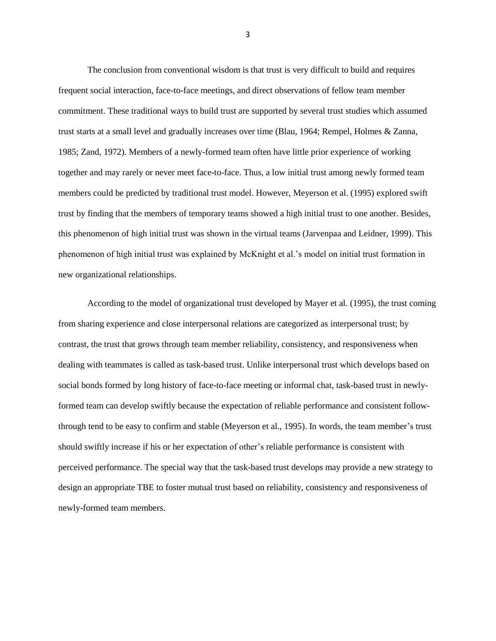The conclusion from conventional wisdom is that trust is very difficult to build and requires frequent social interaction, face-to-face meetings, and direct observations of fellow team member commitment. These traditional ways to build trust are supported by several trust studies which assumed trust starts at a small level and gradually increases over time (Blau, 1964; Rempel, Holmes & Zanna, 1985; Zand, 1972). Members of a newly-formed team often have little prior experience of working together and may rarely or never meet face-to-face. Thus, a low initial trust among newly formed team members could be predicted by traditional trust model. However, Meyerson et al. (1995) explored swift trust by finding that the members of temporary teams showed a high initial trust to one another. Besides, this phenomenon of high initial trust was shown in the virtual teams (Jarvenpaa and Leidner, 1999). This phenomenon of high initial trust was explained by McKnight et al.'s model on initial trust formation in new organizational relationships.

According to the model of organizational trust developed by Mayer et al. (1995), the trust coming from sharing experience and close interpersonal relations are categorized as interpersonal trust; by contrast, the trust that grows through team member reliability, consistency, and responsiveness when dealing with teammates is called as task-based trust. Unlike interpersonal trust which develops based on social bonds formed by long history of face-to-face meeting or informal chat, task-based trust in newlyformed team can develop swiftly because the expectation of reliable performance and consistent followthrough tend to be easy to confirm and stable (Meyerson et al., 1995). In words, the team member's trust should swiftly increase if his or her expectation of other's reliable performance is consistent with perceived performance. The special way that the task-based trust develops may provide a new strategy to design an appropriate TBE to foster mutual trust based on reliability, consistency and responsiveness of newly-formed team members.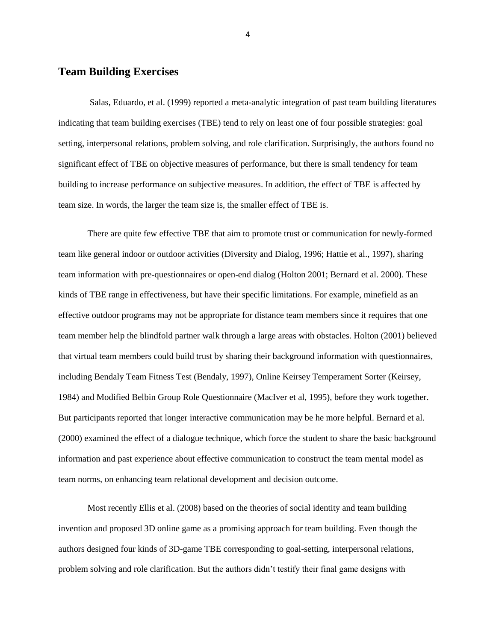#### <span id="page-8-0"></span>**Team Building Exercises**

Salas, Eduardo, et al. (1999) reported a meta-analytic integration of past team building literatures indicating that team building exercises (TBE) tend to rely on least one of four possible strategies: goal setting, interpersonal relations, problem solving, and role clarification. Surprisingly, the authors found no significant effect of TBE on objective measures of performance, but there is small tendency for team building to increase performance on subjective measures. In addition, the effect of TBE is affected by team size. In words, the larger the team size is, the smaller effect of TBE is.

There are quite few effective TBE that aim to promote trust or communication for newly-formed team like general indoor or outdoor activities (Diversity and Dialog, 1996; Hattie et al., 1997), sharing team information with pre-questionnaires or open-end dialog (Holton 2001; Bernard et al. 2000). These kinds of TBE range in effectiveness, but have their specific limitations. For example, minefield as an effective outdoor programs may not be appropriate for distance team members since it requires that one team member help the blindfold partner walk through a large areas with obstacles. Holton (2001) believed that virtual team members could build trust by sharing their background information with questionnaires, including Bendaly Team Fitness Test (Bendaly, 1997), Online Keirsey Temperament Sorter (Keirsey, 1984) and Modified Belbin Group Role Questionnaire (MacIver et al, 1995), before they work together. But participants reported that longer interactive communication may be he more helpful. Bernard et al. (2000) examined the effect of a dialogue technique, which force the student to share the basic background information and past experience about effective communication to construct the team mental model as team norms, on enhancing team relational development and decision outcome.

Most recently Ellis et al. (2008) based on the theories of social identity and team building invention and proposed 3D online game as a promising approach for team building. Even though the authors designed four kinds of 3D-game TBE corresponding to goal-setting, interpersonal relations, problem solving and role clarification. But the authors didn't testify their final game designs with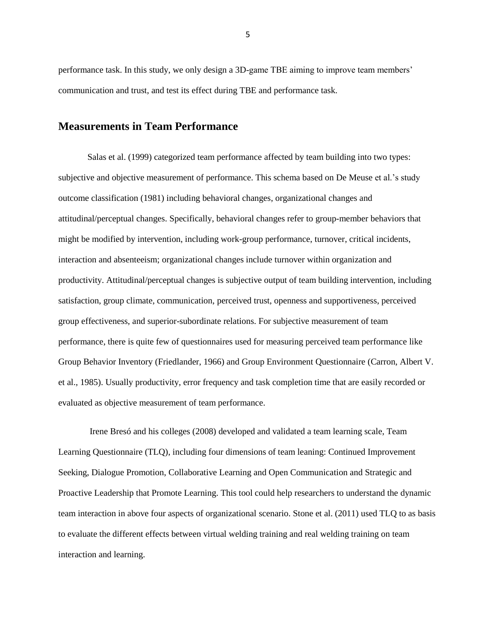performance task. In this study, we only design a 3D-game TBE aiming to improve team members' communication and trust, and test its effect during TBE and performance task.

### <span id="page-9-0"></span>**Measurements in Team Performance**

Salas et al. (1999) categorized team performance affected by team building into two types: subjective and objective measurement of performance. This schema based on De Meuse et al.'s study outcome classification (1981) including behavioral changes, organizational changes and attitudinal/perceptual changes. Specifically, behavioral changes refer to group-member behaviors that might be modified by intervention, including work-group performance, turnover, critical incidents, interaction and absenteeism; organizational changes include turnover within organization and productivity. Attitudinal/perceptual changes is subjective output of team building intervention, including satisfaction, group climate, communication, perceived trust, openness and supportiveness, perceived group effectiveness, and superior-subordinate relations. For subjective measurement of team performance, there is quite few of questionnaires used for measuring perceived team performance like Group Behavior Inventory (Friedlander, 1966) and Group Environment Questionnaire (Carron, Albert V. et al., 1985). Usually productivity, error frequency and task completion time that are easily recorded or evaluated as objective measurement of team performance.

Irene Bresó and his colleges (2008) developed and validated a team learning scale, Team Learning Questionnaire (TLQ), including four dimensions of team leaning: Continued Improvement Seeking, Dialogue Promotion, Collaborative Learning and Open Communication and Strategic and Proactive Leadership that Promote Learning. This tool could help researchers to understand the dynamic team interaction in above four aspects of organizational scenario. Stone et al. (2011) used TLQ to as basis to evaluate the different effects between virtual welding training and real welding training on team interaction and learning.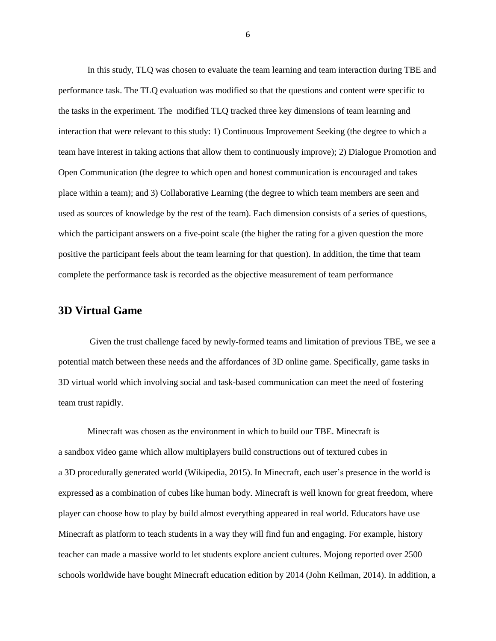In this study, TLQ was chosen to evaluate the team learning and team interaction during TBE and performance task. The TLQ evaluation was modified so that the questions and content were specific to the tasks in the experiment. The modified TLQ tracked three key dimensions of team learning and interaction that were relevant to this study: 1) Continuous Improvement Seeking (the degree to which a team have interest in taking actions that allow them to continuously improve); 2) Dialogue Promotion and Open Communication (the degree to which open and honest communication is encouraged and takes place within a team); and 3) Collaborative Learning (the degree to which team members are seen and used as sources of knowledge by the rest of the team). Each dimension consists of a series of questions, which the participant answers on a five-point scale (the higher the rating for a given question the more positive the participant feels about the team learning for that question). In addition, the time that team complete the performance task is recorded as the objective measurement of team performance

#### <span id="page-10-0"></span>**3D Virtual Game**

Given the trust challenge faced by newly-formed teams and limitation of previous TBE, we see a potential match between these needs and the affordances of 3D online game. Specifically, game tasks in 3D virtual world which involving social and task-based communication can meet the need of fostering team trust rapidly.

Minecraft was chosen as the environment in which to build our TBE. Minecraft is a [sandbox](http://en.wikipedia.org/wiki/Open_world) [video game](http://en.wikipedia.org/wiki/Independent_video_game) which allow multiplayers build constructions out of textured cubes in a [3D](http://en.wikipedia.org/wiki/3D_computer_graphics) [procedurally generated](http://en.wikipedia.org/wiki/Procedural_generation) world (Wikipedia, 2015). In Minecraft, each user's presence in the world is expressed as a combination of cubes like human body. Minecraft is well known for great freedom, where player can choose how to play by build almost everything appeared in real world. Educators have use Minecraft as platform to teach students in a way they will find fun and engaging. For example, history teacher can made a massive world to let students explore ancient cultures. Mojong reported over 2500 schools worldwide have bought Minecraft education edition by 2014 (John Keilman, 2014). In addition, a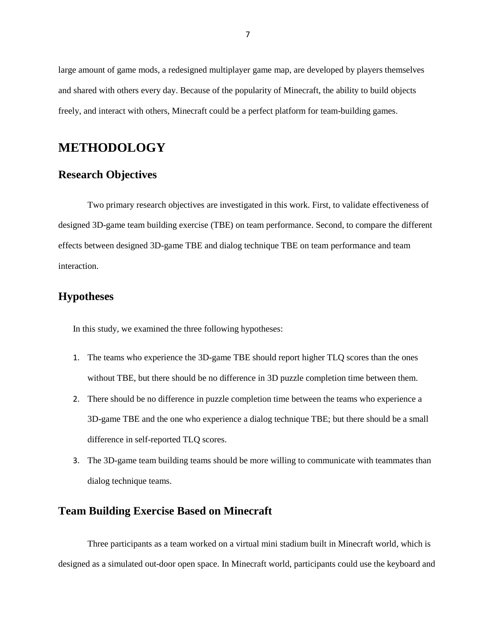large amount of game mods, a redesigned multiplayer game map, are developed by players themselves and shared with others every day. Because of the popularity of Minecraft, the ability to build objects freely, and interact with others, Minecraft could be a perfect platform for team-building games.

# <span id="page-11-0"></span>**METHODOLOGY**

### <span id="page-11-1"></span>**Research Objectives**

Two primary research objectives are investigated in this work. First, to validate effectiveness of designed 3D-game team building exercise (TBE) on team performance. Second, to compare the different effects between designed 3D-game TBE and dialog technique TBE on team performance and team interaction.

## <span id="page-11-2"></span>**Hypotheses**

In this study, we examined the three following hypotheses:

- 1. The teams who experience the 3D-game TBE should report higher TLQ scores than the ones without TBE, but there should be no difference in 3D puzzle completion time between them.
- 2. There should be no difference in puzzle completion time between the teams who experience a 3D-game TBE and the one who experience a dialog technique TBE; but there should be a small difference in self-reported TLQ scores.
- 3. The 3D-game team building teams should be more willing to communicate with teammates than dialog technique teams.

### <span id="page-11-3"></span>**Team Building Exercise Based on Minecraft**

Three participants as a team worked on a virtual mini stadium built in Minecraft world, which is designed as a simulated out-door open space. In Minecraft world, participants could use the keyboard and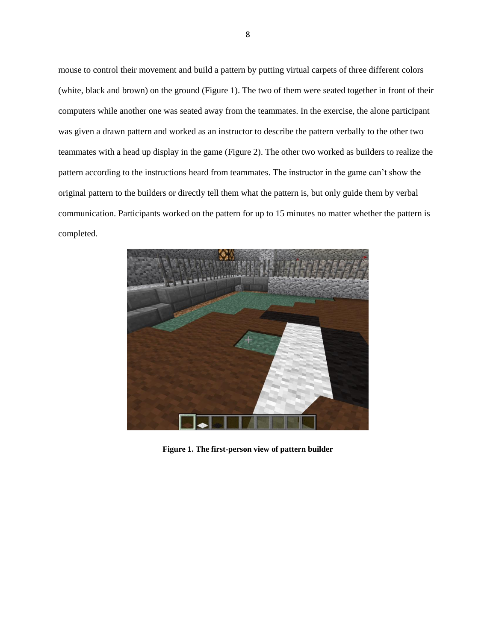mouse to control their movement and build a pattern by putting virtual carpets of three different colors (white, black and brown) on the ground (Figure 1). The two of them were seated together in front of their computers while another one was seated away from the teammates. In the exercise, the alone participant was given a drawn pattern and worked as an instructor to describe the pattern verbally to the other two teammates with a head up display in the game (Figure 2). The other two worked as builders to realize the pattern according to the instructions heard from teammates. The instructor in the game can't show the original pattern to the builders or directly tell them what the pattern is, but only guide them by verbal communication. Participants worked on the pattern for up to 15 minutes no matter whether the pattern is completed.

<span id="page-12-0"></span>

**Figure 1. The first-person view of pattern builder**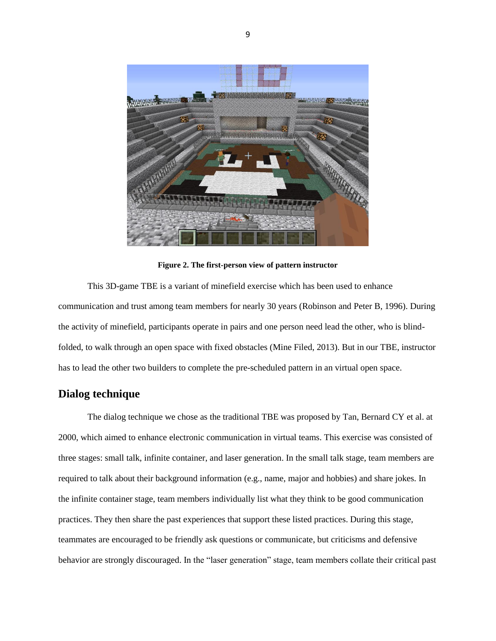

**Figure 2. The first-person view of pattern instructor**

<span id="page-13-0"></span>This 3D-game TBE is a variant of minefield exercise which has been used to enhance communication and trust among team members for nearly 30 years (Robinson and Peter B, 1996). During the activity of minefield, participants operate in pairs and one person need lead the other, who is blindfolded, to walk through an open space with fixed obstacles (Mine Filed, 2013). But in our TBE, instructor has to lead the other two builders to complete the pre-scheduled pattern in an virtual open space.

#### **Dialog technique**

The dialog technique we chose as the traditional TBE was proposed by Tan, Bernard CY et al. at 2000, which aimed to enhance electronic communication in virtual teams. This exercise was consisted of three stages: small talk, infinite container, and laser generation. In the small talk stage, team members are required to talk about their background information (e.g., name, major and hobbies) and share jokes. In the infinite container stage, team members individually list what they think to be good communication practices. They then share the past experiences that support these listed practices. During this stage, teammates are encouraged to be friendly ask questions or communicate, but criticisms and defensive behavior are strongly discouraged. In the "laser generation" stage, team members collate their critical past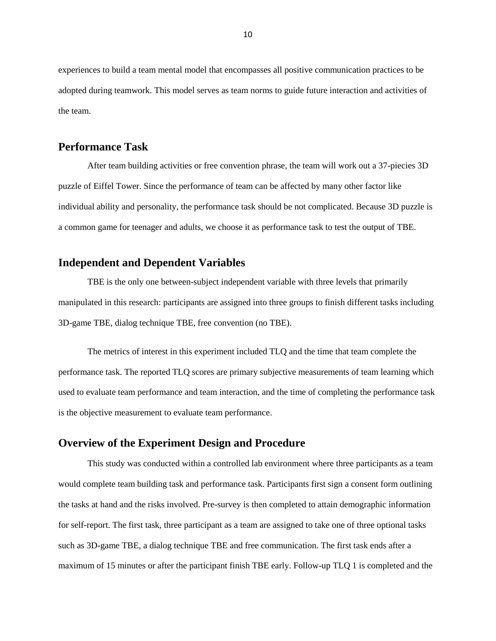experiences to build a team mental model that encompasses all positive communication practices to be adopted during teamwork. This model serves as team norms to guide future interaction and activities of the team.

### <span id="page-14-0"></span>**Performance Task**

After team building activities or free convention phrase, the team will work out a 37-piecies 3D puzzle of Eiffel Tower. Since the performance of team can be affected by many other factor like individual ability and personality, the performance task should be not complicated. Because 3D puzzle is a common game for teenager and adults, we choose it as performance task to test the output of TBE.

### <span id="page-14-1"></span>**Independent and Dependent Variables**

TBE is the only one between-subject independent variable with three levels that primarily manipulated in this research: participants are assigned into three groups to finish different tasks including 3D-game TBE, dialog technique TBE, free convention (no TBE).

The metrics of interest in this experiment included TLQ and the time that team complete the performance task. The reported TLQ scores are primary subjective measurements of team learning which used to evaluate team performance and team interaction, and the time of completing the performance task is the objective measurement to evaluate team performance.

#### **Overview of the Experiment Design and Procedure**

This study was conducted within a controlled lab environment where three participants as a team would complete team building task and performance task. Participants first sign a consent form outlining the tasks at hand and the risks involved. Pre-survey is then completed to attain demographic information for self-report. The first task, three participant as a team are assigned to take one of three optional tasks such as 3D-game TBE, a dialog technique TBE and free communication. The first task ends after a maximum of 15 minutes or after the participant finish TBE early. Follow-up TLQ 1 is completed and the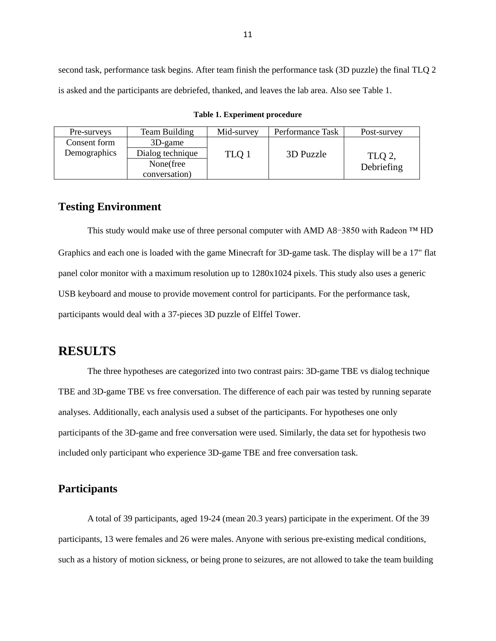second task, performance task begins. After team finish the performance task (3D puzzle) the final TLQ 2 is asked and the participants are debriefed, thanked, and leaves the lab area. Also see Table 1.

<span id="page-15-2"></span>

| Pre-surveys  | Team Building    | Mid-survey | Performance Task | Post-survey |
|--------------|------------------|------------|------------------|-------------|
| Consent form | $3D$ -game       |            |                  |             |
| Demographics | Dialog technique | TLQ 1      | 3D Puzzle        | TLQ 2.      |
|              | None(free        |            |                  | Debriefing  |
|              | conversation)    |            |                  |             |

**Table 1. Experiment procedure**

### **Testing Environment**

This study would make use of three personal computer with AMD A8-3850 with Radeon  $TM$  HD Graphics and each one is loaded with the game Minecraft for 3D-game task. The display will be a 17" flat panel color monitor with a maximum resolution up to 1280x1024 pixels. This study also uses a generic USB keyboard and mouse to provide movement control for participants. For the performance task, participants would deal with a 37-pieces 3D puzzle of Elffel Tower.

# <span id="page-15-0"></span>**RESULTS**

The three hypotheses are categorized into two contrast pairs: 3D-game TBE vs dialog technique TBE and 3D-game TBE vs free conversation. The difference of each pair was tested by running separate analyses. Additionally, each analysis used a subset of the participants. For hypotheses one only participants of the 3D-game and free conversation were used. Similarly, the data set for hypothesis two included only participant who experience 3D-game TBE and free conversation task.

### <span id="page-15-1"></span>**Participants**

A total of 39 participants, aged 19-24 (mean 20.3 years) participate in the experiment. Of the 39 participants, 13 were females and 26 were males. Anyone with serious pre-existing medical conditions, such as a history of motion sickness, or being prone to seizures, are not allowed to take the team building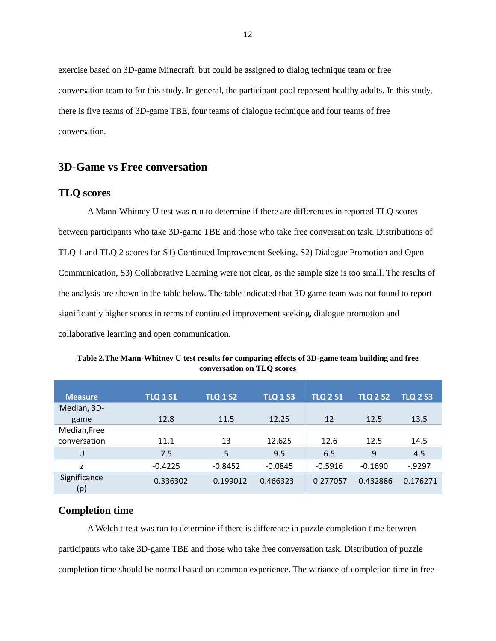exercise based on 3D-game Minecraft, but could be assigned to dialog technique team or free conversation team to for this study. In general, the participant pool represent healthy adults. In this study, there is five teams of 3D-game TBE, four teams of dialogue technique and four teams of free conversation.

### <span id="page-16-0"></span>**3D-Game vs Free conversation**

#### <span id="page-16-1"></span>**TLQ scores**

A Mann-Whitney U test was run to determine if there are differences in reported TLQ scores between participants who take 3D-game TBE and those who take free conversation task. Distributions of TLQ 1 and TLQ 2 scores for S1) Continued Improvement Seeking, S2) Dialogue Promotion and Open Communication, S3) Collaborative Learning were not clear, as the sample size is too small. The results of the analysis are shown in the table below. The table indicated that 3D game team was not found to report significantly higher scores in terms of continued improvement seeking, dialogue promotion and collaborative learning and open communication.

| <b>Measure</b>      | <b>TLQ 1 S1</b> | <b>TLQ 1 S2</b> | <b>TLQ 1 S3</b> | <b>TLQ 2 S1</b> | <b>TLQ 2 S2</b> | <b>TLQ 2 S3</b> |
|---------------------|-----------------|-----------------|-----------------|-----------------|-----------------|-----------------|
| Median, 3D-         |                 |                 |                 |                 |                 |                 |
| game                | 12.8            | 11.5            | 12.25           | 12              | 12.5            | 13.5            |
| Median, Free        |                 |                 |                 |                 |                 |                 |
| conversation        | 11.1            | 13              | 12.625          | 12.6            | 12.5            | 14.5            |
| U                   | 7.5             | 5               | 9.5             | 6.5             | 9               | 4.5             |
| Z                   | $-0.4225$       | $-0.8452$       | $-0.0845$       | $-0.5916$       | $-0.1690$       | $-0.9297$       |
| Significance<br>(p) | 0.336302        | 0.199012        | 0.466323        | 0.277057        | 0.432886        | 0.176271        |

<span id="page-16-3"></span>**Table 2.The Mann-Whitney U test results for comparing effects of 3D-game team building and free conversation on TLQ scores**

#### <span id="page-16-2"></span>**Completion time**

A Welch t-test was run to determine if there is difference in puzzle completion time between participants who take 3D-game TBE and those who take free conversation task. Distribution of puzzle completion time should be normal based on common experience. The variance of completion time in free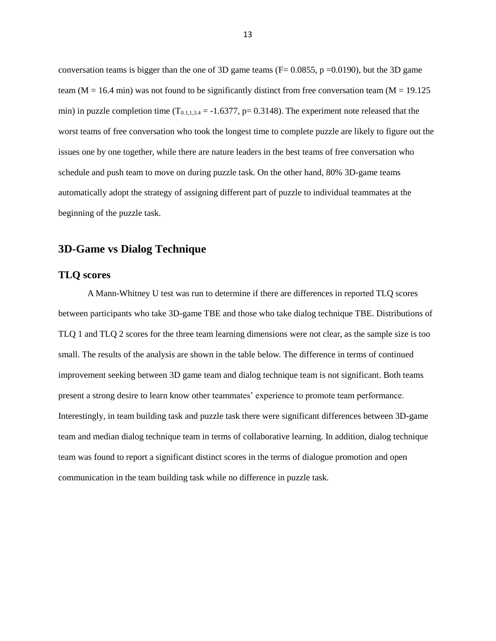conversation teams is bigger than the one of 3D game teams ( $F = 0.0855$ , p =0.0190), but the 3D game team ( $M = 16.4$  min) was not found to be significantly distinct from free conversation team ( $M = 19.125$ ) min) in puzzle completion time  $(T_{0.1,1,3,4} = -1.6377, p= 0.3148)$ . The experiment note released that the worst teams of free conversation who took the longest time to complete puzzle are likely to figure out the issues one by one together, while there are nature leaders in the best teams of free conversation who schedule and push team to move on during puzzle task. On the other hand, 80% 3D-game teams automatically adopt the strategy of assigning different part of puzzle to individual teammates at the beginning of the puzzle task.

#### <span id="page-17-0"></span>**3D-Game vs Dialog Technique**

#### <span id="page-17-1"></span>**TLQ scores**

A Mann-Whitney U test was run to determine if there are differences in reported TLQ scores between participants who take 3D-game TBE and those who take dialog technique TBE. Distributions of TLQ 1 and TLQ 2 scores for the three team learning dimensions were not clear, as the sample size is too small. The results of the analysis are shown in the table below. The difference in terms of continued improvement seeking between 3D game team and dialog technique team is not significant. Both teams present a strong desire to learn know other teammates' experience to promote team performance. Interestingly, in team building task and puzzle task there were significant differences between 3D-game team and median dialog technique team in terms of collaborative learning. In addition, dialog technique team was found to report a significant distinct scores in the terms of dialogue promotion and open communication in the team building task while no difference in puzzle task.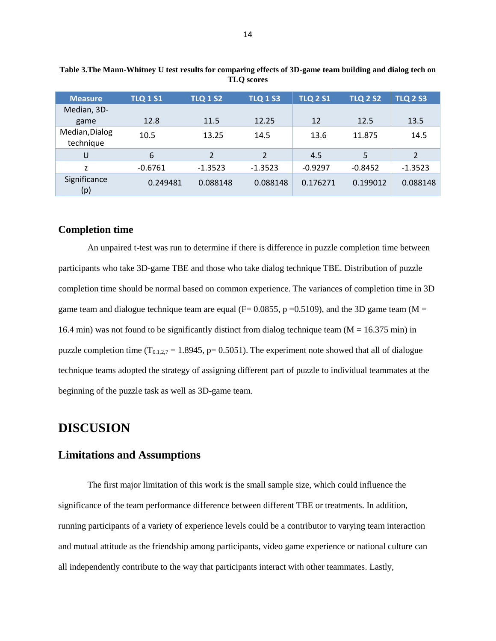| <b>Measure</b>              | <b>TLQ 1 S1</b> | <b>TLQ 1 S2</b> | <b>TLQ 1 S3</b> | <b>TLQ 2 S1</b> | <b>TLQ 2 S2</b> | <b>TLQ 2 S3</b> |
|-----------------------------|-----------------|-----------------|-----------------|-----------------|-----------------|-----------------|
| Median, 3D-                 |                 |                 |                 |                 |                 |                 |
| game                        | 12.8            | 11.5            | 12.25           | 12              | 12.5            | 13.5            |
| Median, Dialog<br>technique | 10.5            | 13.25           | 14.5            | 13.6            | 11.875          | 14.5            |
| U                           | 6               | $\overline{2}$  | $\overline{2}$  | 4.5             | 5               | $\overline{2}$  |
| Z                           | $-0.6761$       | $-1.3523$       | $-1.3523$       | $-0.9297$       | $-0.8452$       | $-1.3523$       |
| Significance<br>(p)         | 0.249481        | 0.088148        | 0.088148        | 0.176271        | 0.199012        | 0.088148        |

<span id="page-18-3"></span>**Table 3.The Mann-Whitney U test results for comparing effects of 3D-game team building and dialog tech on TLQ scores**

#### <span id="page-18-0"></span>**Completion time**

An unpaired t-test was run to determine if there is difference in puzzle completion time between participants who take 3D-game TBE and those who take dialog technique TBE. Distribution of puzzle completion time should be normal based on common experience. The variances of completion time in 3D game team and dialogue technique team are equal ( $F= 0.0855$ , p = 0.5109), and the 3D game team (M = 16.4 min) was not found to be significantly distinct from dialog technique team ( $M = 16.375$  min) in puzzle completion time  $(T_{0,1,2,7} = 1.8945, p= 0.5051)$ . The experiment note showed that all of dialogue technique teams adopted the strategy of assigning different part of puzzle to individual teammates at the beginning of the puzzle task as well as 3D-game team.

# <span id="page-18-1"></span>**DISCUSION**

### <span id="page-18-2"></span>**Limitations and Assumptions**

The first major limitation of this work is the small sample size, which could influence the significance of the team performance difference between different TBE or treatments. In addition, running participants of a variety of experience levels could be a contributor to varying team interaction and mutual attitude as the friendship among participants, video game experience or national culture can all independently contribute to the way that participants interact with other teammates. Lastly,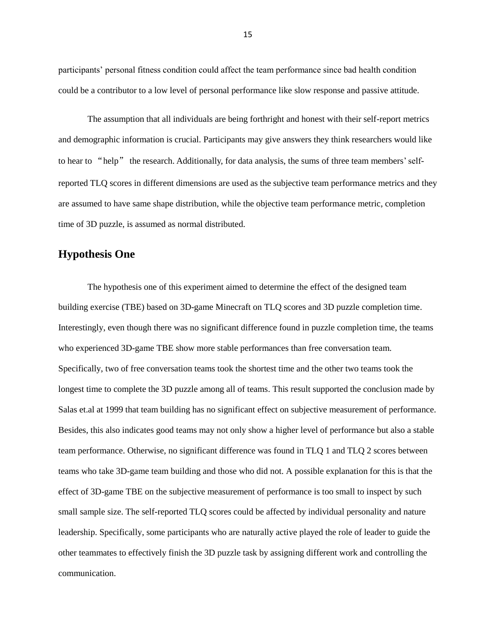participants' personal fitness condition could affect the team performance since bad health condition could be a contributor to a low level of personal performance like slow response and passive attitude.

The assumption that all individuals are being forthright and honest with their self-report metrics and demographic information is crucial. Participants may give answers they think researchers would like to hear to "help" the research. Additionally, for data analysis, the sums of three team members' selfreported TLQ scores in different dimensions are used as the subjective team performance metrics and they are assumed to have same shape distribution, while the objective team performance metric, completion time of 3D puzzle, is assumed as normal distributed.

#### <span id="page-19-0"></span>**Hypothesis One**

The hypothesis one of this experiment aimed to determine the effect of the designed team building exercise (TBE) based on 3D-game Minecraft on TLQ scores and 3D puzzle completion time. Interestingly, even though there was no significant difference found in puzzle completion time, the teams who experienced 3D-game TBE show more stable performances than free conversation team. Specifically, two of free conversation teams took the shortest time and the other two teams took the longest time to complete the 3D puzzle among all of teams. This result supported the conclusion made by Salas et.al at 1999 that team building has no significant effect on subjective measurement of performance. Besides, this also indicates good teams may not only show a higher level of performance but also a stable team performance. Otherwise, no significant difference was found in TLQ 1 and TLQ 2 scores between teams who take 3D-game team building and those who did not. A possible explanation for this is that the effect of 3D-game TBE on the subjective measurement of performance is too small to inspect by such small sample size. The self-reported TLQ scores could be affected by individual personality and nature leadership. Specifically, some participants who are naturally active played the role of leader to guide the other teammates to effectively finish the 3D puzzle task by assigning different work and controlling the communication.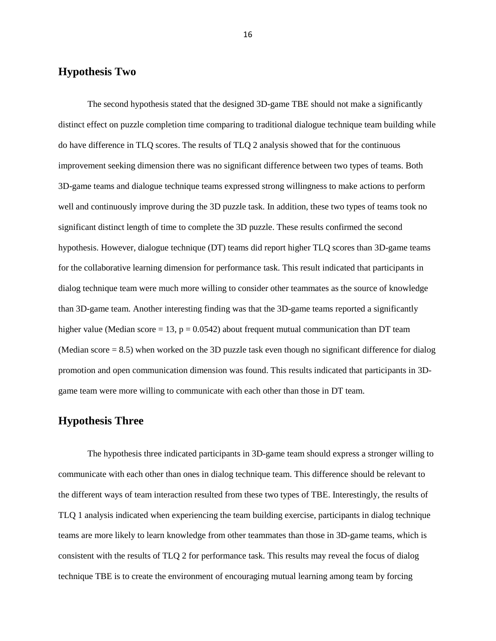#### <span id="page-20-0"></span>**Hypothesis Two**

The second hypothesis stated that the designed 3D-game TBE should not make a significantly distinct effect on puzzle completion time comparing to traditional dialogue technique team building while do have difference in TLQ scores. The results of TLQ 2 analysis showed that for the continuous improvement seeking dimension there was no significant difference between two types of teams. Both 3D-game teams and dialogue technique teams expressed strong willingness to make actions to perform well and continuously improve during the 3D puzzle task. In addition, these two types of teams took no significant distinct length of time to complete the 3D puzzle. These results confirmed the second hypothesis. However, dialogue technique (DT) teams did report higher TLQ scores than 3D-game teams for the collaborative learning dimension for performance task. This result indicated that participants in dialog technique team were much more willing to consider other teammates as the source of knowledge than 3D-game team. Another interesting finding was that the 3D-game teams reported a significantly higher value (Median score = 13,  $p = 0.0542$ ) about frequent mutual communication than DT team (Median score = 8.5) when worked on the 3D puzzle task even though no significant difference for dialog promotion and open communication dimension was found. This results indicated that participants in 3Dgame team were more willing to communicate with each other than those in DT team.

#### <span id="page-20-1"></span>**Hypothesis Three**

The hypothesis three indicated participants in 3D-game team should express a stronger willing to communicate with each other than ones in dialog technique team. This difference should be relevant to the different ways of team interaction resulted from these two types of TBE. Interestingly, the results of TLQ 1 analysis indicated when experiencing the team building exercise, participants in dialog technique teams are more likely to learn knowledge from other teammates than those in 3D-game teams, which is consistent with the results of TLQ 2 for performance task. This results may reveal the focus of dialog technique TBE is to create the environment of encouraging mutual learning among team by forcing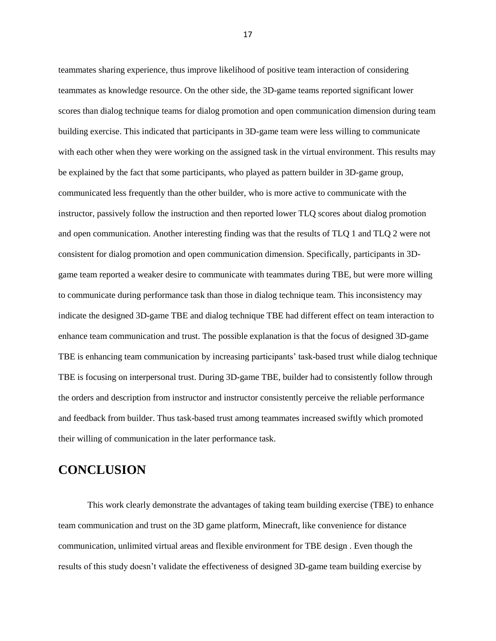teammates sharing experience, thus improve likelihood of positive team interaction of considering teammates as knowledge resource. On the other side, the 3D-game teams reported significant lower scores than dialog technique teams for dialog promotion and open communication dimension during team building exercise. This indicated that participants in 3D-game team were less willing to communicate with each other when they were working on the assigned task in the virtual environment. This results may be explained by the fact that some participants, who played as pattern builder in 3D-game group, communicated less frequently than the other builder, who is more active to communicate with the instructor, passively follow the instruction and then reported lower TLQ scores about dialog promotion and open communication. Another interesting finding was that the results of TLQ 1 and TLQ 2 were not consistent for dialog promotion and open communication dimension. Specifically, participants in 3Dgame team reported a weaker desire to communicate with teammates during TBE, but were more willing to communicate during performance task than those in dialog technique team. This inconsistency may indicate the designed 3D-game TBE and dialog technique TBE had different effect on team interaction to enhance team communication and trust. The possible explanation is that the focus of designed 3D-game TBE is enhancing team communication by increasing participants' task-based trust while dialog technique TBE is focusing on interpersonal trust. During 3D-game TBE, builder had to consistently follow through the orders and description from instructor and instructor consistently perceive the reliable performance and feedback from builder. Thus task-based trust among teammates increased swiftly which promoted their willing of communication in the later performance task.

# <span id="page-21-0"></span>**CONCLUSION**

This work clearly demonstrate the advantages of taking team building exercise (TBE) to enhance team communication and trust on the 3D game platform, Minecraft, like convenience for distance communication, unlimited virtual areas and flexible environment for TBE design . Even though the results of this study doesn't validate the effectiveness of designed 3D-game team building exercise by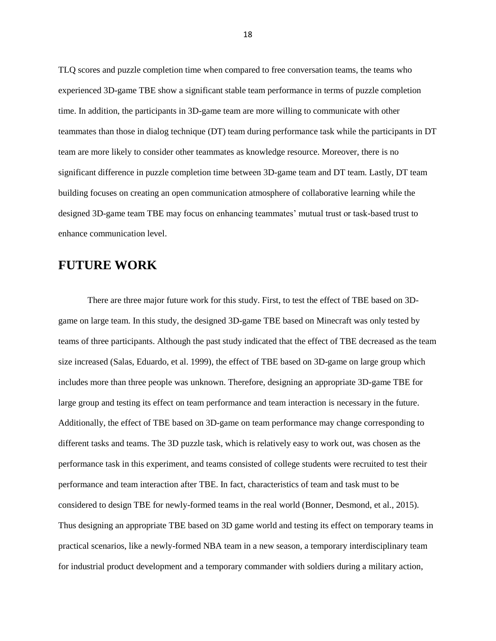TLQ scores and puzzle completion time when compared to free conversation teams, the teams who experienced 3D-game TBE show a significant stable team performance in terms of puzzle completion time. In addition, the participants in 3D-game team are more willing to communicate with other teammates than those in dialog technique (DT) team during performance task while the participants in DT team are more likely to consider other teammates as knowledge resource. Moreover, there is no significant difference in puzzle completion time between 3D-game team and DT team. Lastly, DT team building focuses on creating an open communication atmosphere of collaborative learning while the designed 3D-game team TBE may focus on enhancing teammates' mutual trust or task-based trust to enhance communication level.

# <span id="page-22-0"></span>**FUTURE WORK**

There are three major future work for this study. First, to test the effect of TBE based on 3Dgame on large team. In this study, the designed 3D-game TBE based on Minecraft was only tested by teams of three participants. Although the past study indicated that the effect of TBE decreased as the team size increased (Salas, Eduardo, et al. 1999), the effect of TBE based on 3D-game on large group which includes more than three people was unknown. Therefore, designing an appropriate 3D-game TBE for large group and testing its effect on team performance and team interaction is necessary in the future. Additionally, the effect of TBE based on 3D-game on team performance may change corresponding to different tasks and teams. The 3D puzzle task, which is relatively easy to work out, was chosen as the performance task in this experiment, and teams consisted of college students were recruited to test their performance and team interaction after TBE. In fact, characteristics of team and task must to be considered to design TBE for newly-formed teams in the real world (Bonner, Desmond, et al., 2015). Thus designing an appropriate TBE based on 3D game world and testing its effect on temporary teams in practical scenarios, like a newly-formed NBA team in a new season, a temporary interdisciplinary team for industrial product development and a temporary commander with soldiers during a military action,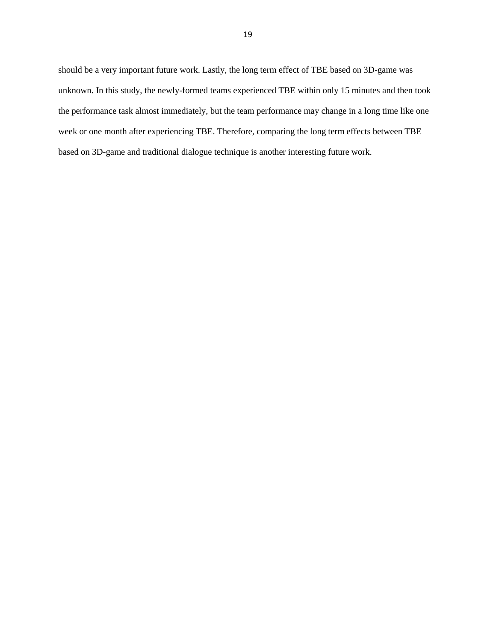should be a very important future work. Lastly, the long term effect of TBE based on 3D-game was unknown. In this study, the newly-formed teams experienced TBE within only 15 minutes and then took the performance task almost immediately, but the team performance may change in a long time like one week or one month after experiencing TBE. Therefore, comparing the long term effects between TBE based on 3D-game and traditional dialogue technique is another interesting future work.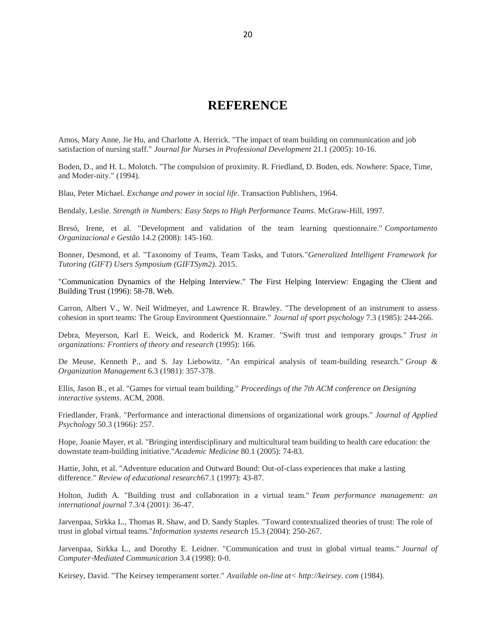# **REFERENCE**

<span id="page-24-0"></span>Amos, Mary Anne, Jie Hu, and Charlotte A. Herrick. "The impact of team building on communication and job satisfaction of nursing staff." *Journal for Nurses in Professional Development* 21.1 (2005): 10-16.

Boden, D., and H. L. Molotch. "The compulsion of proximity. R. Friedland, D. Boden, eds. Nowhere: Space, Time, and Moder-nity." (1994).

Blau, Peter Michael. *Exchange and power in social life*. Transaction Publishers, 1964.

Bendaly, Leslie. *Strength in Numbers: Easy Steps to High Performance Teams*. McGraw-Hill, 1997.

Bresó, Irene, et al. "Development and validation of the team learning questionnaire." *Comportamento Organizacional e Gestão* 14.2 (2008): 145-160.

Bonner, Desmond, et al. "Taxonomy of Teams, Team Tasks, and Tutors."*Generalized Intelligent Framework for Tutoring (GIFT) Users Symposium (GIFTSym2)*. 2015.

"Communication Dynamics of the Helping Interview." The First Helping Interview: Engaging the Client and Building Trust (1996): 58-78. Web.

Carron, Albert V., W. Neil Widmeyer, and Lawrence R. Brawley. "The development of an instrument to assess cohesion in sport teams: The Group Environment Questionnaire." *Journal of sport psychology* 7.3 (1985): 244-266.

Debra, Meyerson, Karl E. Weick, and Roderick M. Kramer. "Swift trust and temporary groups." *Trust in organizations: Frontiers of theory and research* (1995): 166.

De Meuse, Kenneth P., and S. Jay Liebowitz. "An empirical analysis of team-building research." *Group & Organization Management* 6.3 (1981): 357-378.

Ellis, Jason B., et al. "Games for virtual team building." *Proceedings of the 7th ACM conference on Designing interactive systems*. ACM, 2008.

Friedlander, Frank. "Performance and interactional dimensions of organizational work groups." *Journal of Applied Psychology* 50.3 (1966): 257.

Hope, Joanie Mayer, et al. "Bringing interdisciplinary and multicultural team building to health care education: the downstate team-building initiative."*Academic Medicine* 80.1 (2005): 74-83.

Hattie, John, et al. "Adventure education and Outward Bound: Out-of-class experiences that make a lasting difference." *Review of educational research*67.1 (1997): 43-87.

Holton, Judith A. "Building trust and collaboration in a virtual team." *Team performance management: an international journal* 7.3/4 (2001): 36-47.

Jarvenpaa, Sirkka L., Thomas R. Shaw, and D. Sandy Staples. "Toward contextualized theories of trust: The role of trust in global virtual teams."*Information systems research* 15.3 (2004): 250-267.

Jarvenpaa, Sirkka L., and Dorothy E. Leidner. "Communication and trust in global virtual teams." *Journal of Computer*‐*Mediated Communication* 3.4 (1998): 0-0.

Keirsey, David. "The Keirsey temperament sorter." *Available on-line at< http://keirsey. com* (1984).